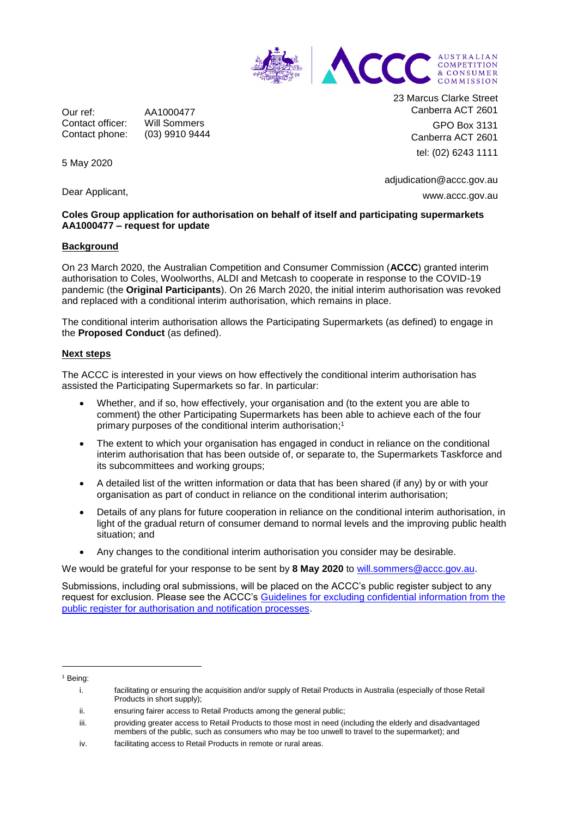

Our ref: AA1000477 Contact officer: Will Sommers Contact phone: (03) 9910 9444 23 Marcus Clarke Street Canberra ACT 2601 GPO Box 3131 Canberra ACT 2601 tel: (02) 6243 1111

adjudication@accc.gov.au www.accc.gov.au

## **Coles Group application for authorisation on behalf of itself and participating supermarkets AA1000477 – request for update**

## **Background**

5 May 2020

Dear Applicant,

On 23 March 2020, the Australian Competition and Consumer Commission (**ACCC**) granted interim authorisation to Coles, Woolworths, ALDI and Metcash to cooperate in response to the COVID-19 pandemic (the **Original Participants**). On 26 March 2020, the initial interim authorisation was revoked and replaced with a conditional interim authorisation, which remains in place.

The conditional interim authorisation allows the Participating Supermarkets (as defined) to engage in the **Proposed Conduct** (as defined).

## **Next steps**

The ACCC is interested in your views on how effectively the conditional interim authorisation has assisted the Participating Supermarkets so far. In particular:

- Whether, and if so, how effectively, your organisation and (to the extent you are able to comment) the other Participating Supermarkets has been able to achieve each of the four primary purposes of the conditional interim authorisation; 1
- The extent to which your organisation has engaged in conduct in reliance on the conditional interim authorisation that has been outside of, or separate to, the Supermarkets Taskforce and its subcommittees and working groups;
- A detailed list of the written information or data that has been shared (if any) by or with your organisation as part of conduct in reliance on the conditional interim authorisation;
- Details of any plans for future cooperation in reliance on the conditional interim authorisation, in light of the gradual return of consumer demand to normal levels and the improving public health situation; and
- Any changes to the conditional interim authorisation you consider may be desirable.

We would be grateful for your response to be sent by **8 May 2020** to [will.sommers@accc.gov.au.](mailto:will.sommers@accc.gov.au)

Submissions, including oral submissions, will be placed on the ACCC's public register subject to any request for exclusion. Please see the ACCC's [Guidelines for excluding confidential information from the](https://www.accc.gov.au/publications/guidelines-for-excluding-confidential-information-from-the-public-register-for-authorisation-and-notification-processes)  [public register for authorisation and notification processes.](https://www.accc.gov.au/publications/guidelines-for-excluding-confidential-information-from-the-public-register-for-authorisation-and-notification-processes)

 $\overline{a}$ 

<sup>1</sup> Being:

i. facilitating or ensuring the acquisition and/or supply of Retail Products in Australia (especially of those Retail Products in short supply);

ii. ensuring fairer access to Retail Products among the general public;

iii. providing greater access to Retail Products to those most in need (including the elderly and disadvantaged members of the public, such as consumers who may be too unwell to travel to the supermarket); and

iv. facilitating access to Retail Products in remote or rural areas.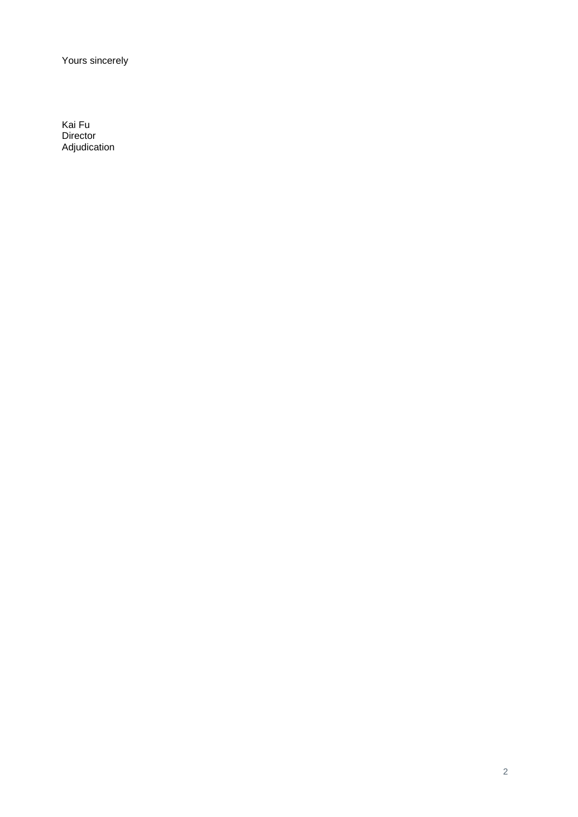Yours sincerely

Kai Fu **Director** Adjudication